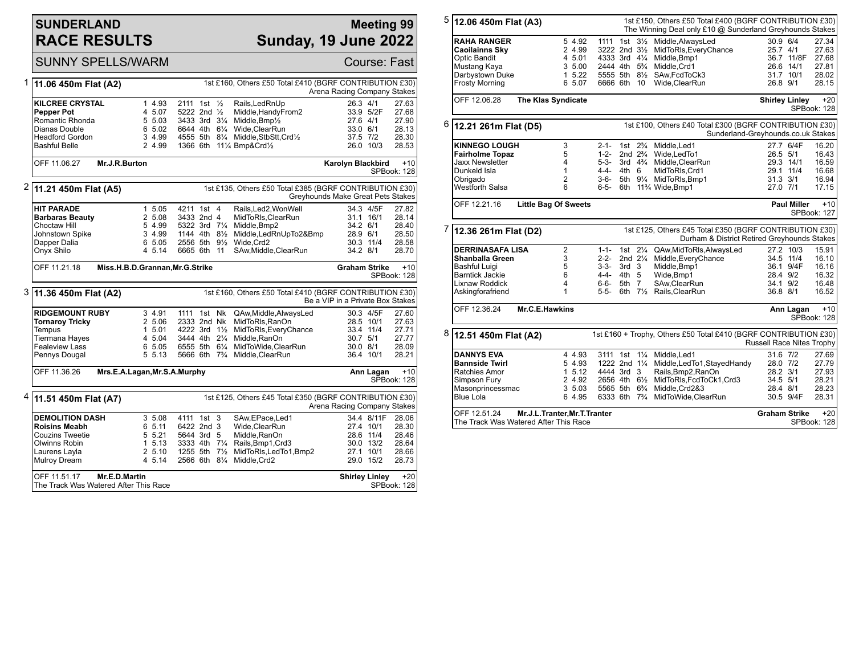## **SUNDERLAND RACE RESULTS**

OFF 11.51.17 **Mr.E.D.Martin** The Track Was Watered After This Race

# **Meeting 99 Sunday, 19 June 2022**

**Shirley Linley** +20 SPBook: 128

SUNNY SPELLS/WARM COURSE: Fast 1 **11.06 450m Flat (A2)** 1st £160, Others £50 Total £410 (BGRF CONTRIBUTION £30) Arena Racing Company Stakes **KILCREE CRYSTAL** 1 4.93 2111 1st 1/<sub>2</sub> Rails,LedRnUp 26.3 4/1 27.63<br> **Pepper Pot** 27.68 20 4 5.07 5222 2nd 1/<sub>2</sub> Middle.HandyFrom2 33.9 5/2F 27.68 **Pepper Pot** 4 5.07 5222 2nd ½ Middle,HandyFrom2 33.9 5/2F 27.68 Romantic Rhonda 5 5.03 3433 3rd 3¼ Middle,Bmp½ 27.6 4/1 27.90 Dianas Double 6 5.02 6644 4th 6¼ Wide,ClearRun 33.0 6/1 28.13 Headford Gordon 3 4.99 4555 5th 8¼ Middle,StbStt,Crd½ 37.5 7/2 28.30 1366 6th 11¼ Bmp&Crd1⁄2 OFF 11.06.27 **Mr.J.R.Burton Karolyn Blackbird** +10 SPBook: 128 2 **11.21 450m Flat (A5)** 1st £135, Others £50 Total £385 (BGRF CONTRIBUTION £30) Greyhounds Make Great Pets Stakes **HIT PARADE** 1 5.05 4211 1st 4 Rails,Led2,WonWell 34.3 4/5F 27.82<br>**Barbaras Beauty** 2 5.08 3433 2nd 4 MidToRIs.ClearRun 31.1 16/1 28.14 **Barbaras Beauty** 2 5.08 3433 2nd 4 MidToRls, ClearRun 31.1 16/1 28.14<br>Choctaw Hill 3 34.9 5322 3rd 7<sup>1</sup>/<sub>4</sub> Middle.Bmp2 34.2 6/1 28.40 Choctaw Hill  $\begin{array}{ccc} 5 & 4.99 & 5322 \end{array}$  3rd 7¼ Middle,Bmp2  $\begin{array}{ccc} 34.2 & 6/1 & 28.40 \\ 3 & 4.99 & 1144 & 4\text{th} & 8\% & \text{Middle} \end{array}$  And  $\begin{array}{ccc} 28.9 & 6/1 & 28.50 \\ 28.9 & 6/1 & 28.50 \\ \end{array}$ Johnstown Spike 3 4.99 1144 4th 8½ Middle,LedRnUpTo2&Bmp 28.9 6/1 28.50 Dapper Dalia 6 5.05 2556 5th 9½ Wide,Crd2 30.3 11/4 28.58 Onyx Shilo 4 5.14 6665 6th 11 SAw,Middle,ClearRun 34.2 8/1 28.70 OFF 11.21.18 **Miss.H.B.D.Grannan,Mr.G.Strike Graham Strike** +10 SPBook: 128 3 **11.36 450m Flat (A2)** 1st £160, Others £50 Total £410 (BGRF CONTRIBUTION £30) Be a VIP in a Private Box Stakes **RIDGEMOUNT RUBY** 3 4.91 1111 1st Nk QAw,Middle,AlwaysLed 30.3 4/5F 27.60 **Tornaroy Tricky** 2 5.06 2333 2nd Nk MidToRls,RanOn 28.5 10/1 27.63<br>Tempus 28.5 10/1 27.71 1 5.01 4222 3rd 1½ MidToRls,EveryChance 33.4 11/4 27.71 Tempus 1 5.01 4222 3rd 1½ MidToRls,EveryChance 33.4 11/4 27.71<br>Tiermana Hayes 4 5.04 3444 4th 2¼ Middle,RanOn 30.7 5/1 27.77 Tiermana Hayes 4 5.04 3444 4th 2<sup>1</sup>/<sub>4</sub> Middle,RanOn 30.7 5/1 27.77<br>
Fealeview Lass 6 5.05 6555 5th 6<sup>1</sup>/<sub>4</sub> MidToWide,ClearRun 30.0 8/1 28.09 Fealeview Lass 6 5.05 6555 5th 6¼ MidToWide,ClearRun 30.0 8/1 28.09 5666 6th 7¾ Middle ClearRun OFF 11.36.26 **Mrs.E.A.Lagan,Mr.S.A.Murphy Ann Lagan** +10 SPBook: 128 4 **11.51 450m Flat (A7)** 1st £125, Others £45 Total £350 (BGRF CONTRIBUTION £30) Arena Racing Company Stakes **DEMOLITION DASH** 3 5.08 4111 1st 3 SAw, EPace, Led1 34.4 8/11 F 28.06<br> **Roisins Meabh** 6 5.11 6422 2nd 3 Wide, Clear Run 27.4 10/1 28.30 **Roisins Meabh** 6 5.11 6422 2nd 3 Wide,ClearRun 27.4 10/1 28.30 Couzins Tweetie 5 5.21 5644 3rd 5 Middle,RanOn 28.6 11/4 28.46 Olwinns Robin 1 5.13 3333 4th 7¼ Rails,Bmp1,Crd3 30.0 13/2 28.64 Laurens Layla 2 5.10 1255 5th 7½ MidToRls,LedTo1,Bmp2 27.1 10/1 28.66

2566 6th  $8\frac{1}{4}$  Middle, Crd2

| 5 | 12.06 450m Flat (A3)                                                                                                                      |                                                                 |                                                                                         |                                                          |                    | 1st £150, Others £50 Total £400 (BGRF CONTRIBUTION £30)<br>The Winning Deal only £10 @ Sunderland Greyhounds Stakes                                   |                                      |                                      |                                                    |
|---|-------------------------------------------------------------------------------------------------------------------------------------------|-----------------------------------------------------------------|-----------------------------------------------------------------------------------------|----------------------------------------------------------|--------------------|-------------------------------------------------------------------------------------------------------------------------------------------------------|--------------------------------------|--------------------------------------|----------------------------------------------------|
|   | <b>RAHA RANGER</b><br><b>Caoilainns Sky</b><br><b>Optic Bandit</b><br>Mustang Kaya<br>Darbystown Duke<br><b>Frosty Morning</b>            | 5 4.92<br>2 4.99<br>4 5.01<br>3 5.00<br>15.22<br>6 5.07         | 3222 2nd 31/2<br>4333 3rd 41/4<br>2444 4th 5 <sup>3</sup> / <sub>4</sub><br>6666 6th 10 |                                                          |                    | 1111 1st 31/ <sub>2</sub> Middle, Always Led<br>MidToRIs, EveryChance<br>Middle, Bmp1<br>Middle, Crd1<br>5555 5th 81/2 SAw, FcdToCk3<br>Wide.ClearRun | 30.9 6/4<br>25.7 4/1<br>26.8 9/1     | 36.7 11/8F<br>26.6 14/1<br>31.7 10/1 | 27.34<br>27.63<br>27.68<br>27.81<br>28.02<br>28.15 |
|   | OFF 12.06.28                                                                                                                              | <b>The Klas Syndicate</b>                                       |                                                                                         |                                                          |                    |                                                                                                                                                       | <b>Shirley Linley</b>                |                                      | $+20$<br>SPBook: 128                               |
| 6 | 12.21 261m Flat (D5)                                                                                                                      |                                                                 |                                                                                         |                                                          |                    | 1st £100, Others £40 Total £300 (BGRF CONTRIBUTION £30)<br>Sunderland-Greyhounds.co.uk Stakes                                                         |                                      |                                      |                                                    |
|   | <b>KINNEGO LOUGH</b><br><b>Fairholme Topaz</b><br><b>Jaxx Newsletter</b><br>Dunkeld Isla<br>Obrigado<br>Westforth Salsa                   | 3<br>5<br>$\overline{4}$<br>$\mathbf{1}$<br>$\overline{2}$<br>6 | $2 - 1 -$<br>$1 - 2 -$<br>$5 - 3 -$<br>$4 - 4 -$<br>$3 - 6 -$<br>6-5-                   | 2nd $2\frac{3}{4}$<br>4th 6                              | 1st $2\frac{3}{4}$ | Middle.Led1<br>Wide, LedTo1<br>3rd 4% Middle, ClearRun<br>MidToRIs, Crd1<br>5th 91/4 MidToRIs, Bmp1<br>6th 11% Wide, Bmp1                             | 26.5 5/1<br>$31.3$ $3/1$<br>27.0 7/1 | 27.7 6/4F<br>29.3 14/1<br>29.1 11/4  | 16.20<br>16.43<br>16.59<br>16.68<br>16.94<br>17.15 |
|   | OFF 12.21.16                                                                                                                              | <b>Little Bag Of Sweets</b>                                     |                                                                                         |                                                          |                    |                                                                                                                                                       |                                      | <b>Paul Miller</b>                   | $+10$<br>SPBook: 127                               |
| 7 | 12.36 261m Flat (D2)                                                                                                                      |                                                                 |                                                                                         |                                                          |                    | 1st £125, Others £45 Total £350 (BGRF CONTRIBUTION £30)<br>Durham & District Retired Greyhounds Stakes                                                |                                      |                                      |                                                    |
|   | <b>DERRINASAFA LISA</b><br><b>Shanballa Green</b><br><b>Bashful Luigi</b><br><b>Barntick Jackie</b><br>Lixnaw Roddick<br>Askingforafriend | 2<br>3<br>5<br>6<br>4<br>$\mathbf{1}$                           | $1 - 1 -$<br>$2 - 2 -$<br>$3 - 3 -$<br>$4 - 4 -$<br>6-6-<br>$5 - 5 -$                   | 2nd $2\frac{1}{4}$<br>3rd <sub>3</sub><br>4th 5<br>5th 7 |                    | 1st 21/4 QAw, Mid To RIs, Always Led<br>Middle, Every Chance<br>Middle, Bmp1<br>Wide, Bmp1<br>SAw, Clear Run<br>6th 71/2 Rails, ClearRun              | 28.4 9/2<br>34.1 9/2<br>36.8 8/1     | 27.2 10/3<br>34.5 11/4<br>36.1 9/4F  | 15.91<br>16.10<br>16.16<br>16.32<br>16.48<br>16.52 |
|   | OFF 12.36.24                                                                                                                              | Mr.C.E.Hawkins                                                  |                                                                                         |                                                          |                    |                                                                                                                                                       |                                      | Ann Lagan                            | $+10$<br>SPBook: 128                               |
| 8 | 12.51 450m Flat (A2)                                                                                                                      |                                                                 |                                                                                         |                                                          |                    | 1st £160 + Trophy, Others £50 Total £410 (BGRF CONTRIBUTION £30)                                                                                      | Russell Race Nites Trophy            |                                      |                                                    |
|   |                                                                                                                                           |                                                                 |                                                                                         |                                                          |                    |                                                                                                                                                       |                                      |                                      |                                                    |

Simpson Fury 2 4.92 2656 4th 6½ MidToRls,FcdToCk1,Crd3 34.5 5/1 28.21 Masonprincessmac 3 5.03 5565 5th 6¾ Middle,Crd2&3 28.4 8/1 28.23 6333 6th 7<sup>3</sup>/<sub>4</sub> MidToWide,ClearRun

> **Graham Strike** +20 SPBook: 128

OFF 12.51.24 **Mr.J.L.Tranter,Mr.T.Tranter** The Track Was Watered After This Race